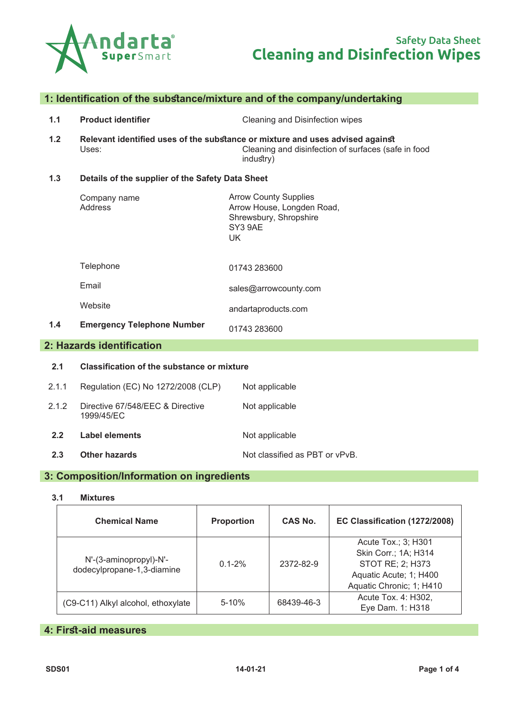

# **1: Identification of the substance/mixture and of the company/undertaking**

- **1.1 Product identifier** Cleaning and Disinfection wipes
- **1.2 Relevant identified uses of the substance or mixture and uses advised against** Cleaning and disinfection of surfaces (safe in food industry)

#### **1.3 Details of the supplier of the Safety Data Sheet**

| Company name<br>Address | <b>Arrow County Supplies</b><br>Arrow House, Longden Road,<br>Shrewsbury, Shropshire<br>SY3 9AE<br>UK |
|-------------------------|-------------------------------------------------------------------------------------------------------|
| Telephone               | 01743 283600                                                                                          |
| Email                   | sales@arrowcounty.com                                                                                 |
| Website                 | andartaproducts.com                                                                                   |

**1.4 Emergency Telephone Number** 01743 283600

# **2: Hazards identification**

# **2.1 Classification of the substance or mixture** 2.1.1 Regulation (EC) No 1272/2008 (CLP) Not applicable 2.1.2 Directive 67/548/EEC & Directive 1999/45/EC Not applicable **2.2 Label elements** Not applicable **2.3 Other hazards Details Not classified as PBT or vPvB.**

## **3: Composition/Information on ingredients**

**3.1 Mixtures**

| <b>Chemical Name</b>                                 | <b>Proportion</b> | <b>CAS No.</b> | EC Classification (1272/2008)                                                                                         |
|------------------------------------------------------|-------------------|----------------|-----------------------------------------------------------------------------------------------------------------------|
| N'-(3-aminopropyl)-N'-<br>dodecylpropane-1,3-diamine | $0.1 - 2\%$       | 2372-82-9      | Acute Tox.; 3; H301<br>Skin Corr.; 1A; H314<br>STOT RE; 2; H373<br>Aquatic Acute; 1; H400<br>Aquatic Chronic; 1; H410 |
| (C9-C11) Alkyl alcohol, ethoxylate                   | $5 - 10%$         | 68439-46-3     | Acute Tox. 4: H302,<br>Eye Dam. 1: H318                                                                               |

# **4: First-aid measures**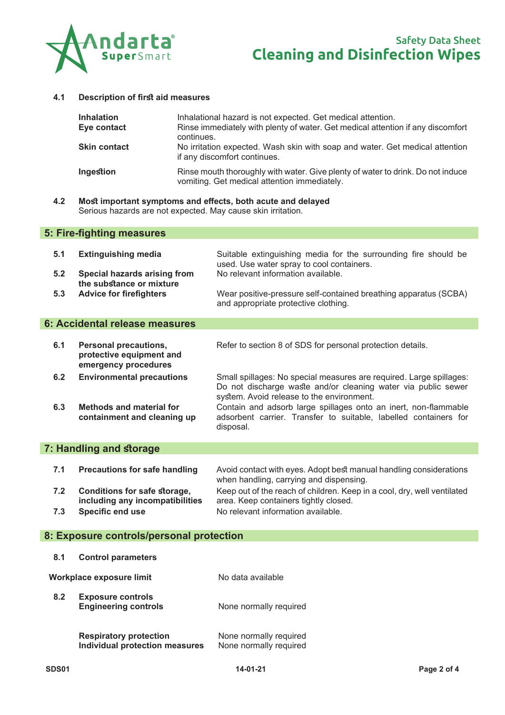

#### **4.1 Description of first aid measures**

| <b>Inhalation</b><br>Eye contact | Inhalational hazard is not expected. Get medical attention.<br>Rinse immediately with plenty of water. Get medical attention if any discomfort<br>continues. |
|----------------------------------|--------------------------------------------------------------------------------------------------------------------------------------------------------------|
| <b>Skin contact</b>              | No irritation expected. Wash skin with soap and water. Get medical attention<br>if any discomfort continues.                                                 |
| <b>Ingestion</b>                 | Rinse mouth thoroughly with water. Give plenty of water to drink. Do not induce<br>vomiting. Get medical attention immediately.                              |

**4.2 Most important symptoms and effects, both acute and delayed** Serious hazards are not expected. May cause skin irritation.

## **5: Fire-fighting measures**

| 5.1 | <b>Extinguishing media</b>                               | Suitable extinguishing media for the surrounding fire should be<br>used. Use water spray to cool containers. |
|-----|----------------------------------------------------------|--------------------------------------------------------------------------------------------------------------|
| 5.2 | Special hazards arising from<br>the substance or mixture | No relevant information available.                                                                           |
| 5.3 | <b>Advice for firefighters</b>                           | Wear positive-pressure self-contained breathing apparatus (SCBA)<br>and appropriate protective clothing.     |

## **6: Accidental release measures**

| 6.1 | <b>Personal precautions,</b><br>protective equipment and<br>emergency procedures | Refer to section 8 of SDS for personal protection details.                                                                                                                        |
|-----|----------------------------------------------------------------------------------|-----------------------------------------------------------------------------------------------------------------------------------------------------------------------------------|
| 6.2 | <b>Environmental precautions</b>                                                 | Small spillages: No special measures are required. Large spillages:<br>Do not discharge waste and/or cleaning water via public sewer<br>system. Avoid release to the environment. |
|     |                                                                                  |                                                                                                                                                                                   |

**6.3 Methods and material for containment and cleaning up** Contain and adsorb large spillages onto an inert, non-flammable adsorbent carrier. Transfer to suitable, labelled containers for disposal.

## **7: Handling and storage**

| <b>Precautions for safe handling</b>                                                                     | Avoid contact with eyes. Adopt best manual handling considerations                                                                                     |
|----------------------------------------------------------------------------------------------------------|--------------------------------------------------------------------------------------------------------------------------------------------------------|
| 7.1                                                                                                      | when handling, carrying and dispensing.                                                                                                                |
| Conditions for safe storage,<br>7.2<br>including any incompatibilities<br><b>Specific end use</b><br>7.3 | Keep out of the reach of children. Keep in a cool, dry, well ventilated<br>area. Keep containers tightly closed.<br>No relevant information available. |

## **8: Exposure controls/personal protection**

| 8.1 | <b>Control parameters</b>                                              |                                                  |
|-----|------------------------------------------------------------------------|--------------------------------------------------|
|     | Workplace exposure limit                                               | No data available                                |
| 8.2 | <b>Exposure controls</b><br><b>Engineering controls</b>                | None normally required                           |
|     | <b>Respiratory protection</b><br><b>Individual protection measures</b> | None normally required<br>None normally required |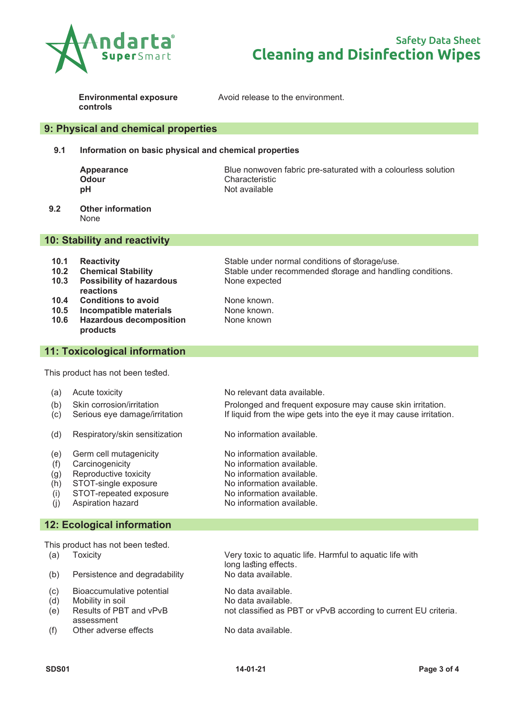

# **Cleaning and Disinfection Wipes** Safety Data Sheet

**Environmental exposure controls**

Avoid release to the environment.

## **9: Physical and chemical properties**

#### **9.1 Information on basic physical and chemical properties**

**Appearance** and Blue nonwoven fabric pre-saturated with a colourless solution<br> **Odour** Characteristic **Odour** Characteristic **pH** Not available

**9.2 Other information** None

### **10: Stability and reactivity**

- **10.1 Reactivity** Stable under normal conditions of storage/use.
- **10.2 Chemical Stability** Stable under recommended storage and handling conditions.
- **10.3 Possibility of hazardous reactions**
- **10.4 Conditions to avoid** None known.
- **10.5 Incompatible materials<br><b>10.6 Hazardous decomposit**
- **10.6 Hazardous decomposition products**

# **11: Toxicological information**

This product has not been tested.

- 
- 
- 
- (d) Respiratory/skin sensitization No information available.
- 
- 
- (g) Reproductive toxicity  $(1)$  No information available.<br>(h) STOT-single exposure No information available.
- $(h)$  STOT-single exposure
- (i) STOT-repeated exposure No information available.
- 

## **12: Ecological information**

This product has not been tested.

- 
- $(b)$  Persistence and degradability
- 
- $(d)$  Mobility in soil  $\blacksquare$  No data available.
- (e) Results of PBT and vPvB assessment
- (f) Other adverse effects No data available.

None known

(a) Acute toxicity **No relevant data available.** (b) Skin corrosion/irritation Prolonged and frequent exposure may cause skin irritation. (c) Serious eye damage/irritation If liquid from the wipe gets into the eye it may cause irritation.

None expected

(e) Germ cell mutagenicity <br>
(f) Carcinogenicity Mo information available.<br>
No information available.  $(f)$  Carcinogenicity  $\qquad \qquad$  No information available.

- 
- 
- (j) Aspiration hazard No information available.

(a) Toxicity Very toxic to aquatic life. Harmful to aquatic life with long lasting effects.<br>No data available.

(c) Bioaccumulative potential in the No data available.<br>(d) Mobility in soil in the No data available. not classified as PBT or vPvB according to current EU criteria.